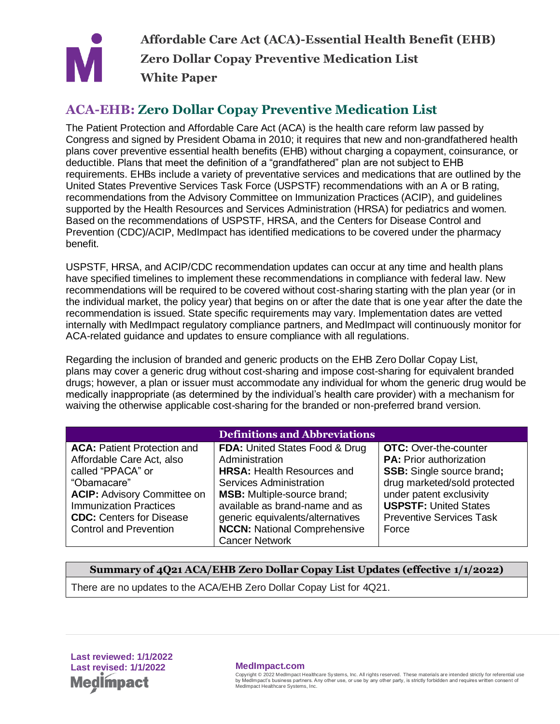

**Affordable Care Act (ACA)-Essential Health Benefit (EHB) Zero Dollar Copay Preventive Medication List White Paper**

## **ACA-EHB: Zero Dollar Copay Preventive Medication List**

The Patient Protection and Affordable Care Act (ACA) is the health care reform law passed by Congress and signed by President Obama in 2010; it requires that new and non-grandfathered health plans cover preventive essential health benefits (EHB) without charging a copayment, coinsurance, or deductible. Plans that meet the definition of a "grandfathered" plan are not subject to EHB requirements. EHBs include a variety of preventative services and medications that are outlined by the United States Preventive Services Task Force (USPSTF) recommendations with an A or B rating, recommendations from the Advisory Committee on Immunization Practices (ACIP), and guidelines supported by the Health Resources and Services Administration (HRSA) for pediatrics and women. Based on the recommendations of USPSTF, HRSA, and the Centers for Disease Control and Prevention (CDC)/ACIP, MedImpact has identified medications to be covered under the pharmacy benefit.

USPSTF, HRSA, and ACIP/CDC recommendation updates can occur at any time and health plans have specified timelines to implement these recommendations in compliance with federal law. New recommendations will be required to be covered without cost-sharing starting with the plan year (or in the individual market, the policy year) that begins on or after the date that is one year after the date the recommendation is issued. State specific requirements may vary. Implementation dates are vetted internally with MedImpact regulatory compliance partners, and MedImpact will continuously monitor for ACA-related guidance and updates to ensure compliance with all regulations.

Regarding the inclusion of branded and generic products on the EHB Zero Dollar Copay List, plans may cover a generic drug without cost-sharing and impose cost-sharing for equivalent branded drugs; however, a plan or issuer must accommodate any individual for whom the generic drug would be medically inappropriate (as determined by the individual's health care provider) with a mechanism for waiving the otherwise applicable cost-sharing for the branded or non-preferred brand version.

| <b>Definitions and Abbreviations</b>                                                                                                                                                                                                           |                                                                                                                                                                                                                                                                                                         |                                                                                                                                                                                                                                            |  |  |
|------------------------------------------------------------------------------------------------------------------------------------------------------------------------------------------------------------------------------------------------|---------------------------------------------------------------------------------------------------------------------------------------------------------------------------------------------------------------------------------------------------------------------------------------------------------|--------------------------------------------------------------------------------------------------------------------------------------------------------------------------------------------------------------------------------------------|--|--|
| <b>ACA: Patient Protection and</b><br>Affordable Care Act, also<br>called "PPACA" or<br>"Obamacare"<br><b>ACIP: Advisory Committee on</b><br><b>Immunization Practices</b><br><b>CDC:</b> Centers for Disease<br><b>Control and Prevention</b> | <b>FDA: United States Food &amp; Drug</b><br>Administration<br><b>HRSA: Health Resources and</b><br>Services Administration<br><b>MSB:</b> Multiple-source brand;<br>available as brand-name and as<br>generic equivalents/alternatives<br><b>NCCN:</b> National Comprehensive<br><b>Cancer Network</b> | <b>OTC:</b> Over-the-counter<br><b>PA: Prior authorization</b><br><b>SSB:</b> Single source brand;<br>drug marketed/sold protected<br>under patent exclusivity<br><b>USPSTF: United States</b><br><b>Preventive Services Task</b><br>Force |  |  |

### **Summary of 4Q21 ACA/EHB Zero Dollar Copay List Updates (effective 1/1/2022)**

There are no updates to the ACA/EHB Zero Dollar Copay List for 4Q21.

**Last reviewed: 1/1/2022 Last revised: 1/1/2022 MedImpact.com Med** pact

Copyright © 2022 MedImpact Healthcare Systems, Inc. All rights reserved. These materials are intended strictly for referential use **1** by MedImpact's business partners. Any other use, or use by any other party, is strictly forbidden and requires written consent of MedImpact Healthcare Systems, Inc.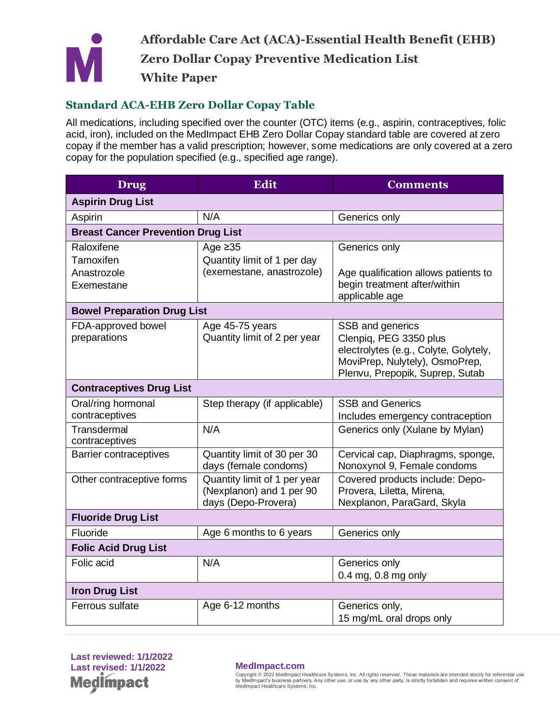

### **Standard ACA-EHB Zero Dollar Copay Table**

All medications, including specified over the counter (OTC) items (e.g., aspirin, contraceptives, folic acid, iron), included on the MedImpact EHB Zero Dollar Copay standard table are covered at zero copay if the member has a valid prescription; however, some medications are only covered at a zero copay for the population specified (e.g., specified age range).

| <b>Drug</b>                                          | <b>Edit</b>                                                                     | <b>Comments</b>                                                                                                                                          |  |  |
|------------------------------------------------------|---------------------------------------------------------------------------------|----------------------------------------------------------------------------------------------------------------------------------------------------------|--|--|
| <b>Aspirin Drug List</b>                             |                                                                                 |                                                                                                                                                          |  |  |
| Aspirin                                              | N/A                                                                             | Generics only                                                                                                                                            |  |  |
| <b>Breast Cancer Prevention Drug List</b>            |                                                                                 |                                                                                                                                                          |  |  |
| Raloxifene<br>Tamoxifen<br>Anastrozole<br>Exemestane | Age $\geq 35$<br>Quantity limit of 1 per day<br>(exemestane, anastrozole)       | Generics only<br>Age qualification allows patients to<br>begin treatment after/within<br>applicable age                                                  |  |  |
| <b>Bowel Preparation Drug List</b>                   |                                                                                 |                                                                                                                                                          |  |  |
| FDA-approved bowel<br>preparations                   | Age 45-75 years<br>Quantity limit of 2 per year                                 | SSB and generics<br>Clenpiq, PEG 3350 plus<br>electrolytes (e.g., Colyte, Golytely,<br>MoviPrep, Nulytely), OsmoPrep,<br>Plenvu, Prepopik, Suprep, Sutab |  |  |
| <b>Contraceptives Drug List</b>                      |                                                                                 |                                                                                                                                                          |  |  |
| Oral/ring hormonal<br>contraceptives                 | Step therapy (if applicable)                                                    | <b>SSB and Generics</b><br>Includes emergency contraception                                                                                              |  |  |
| Transdermal<br>contraceptives                        | N/A                                                                             | Generics only (Xulane by Mylan)                                                                                                                          |  |  |
| <b>Barrier contraceptives</b>                        | Quantity limit of 30 per 30<br>days (female condoms)                            | Cervical cap, Diaphragms, sponge,<br>Nonoxynol 9, Female condoms                                                                                         |  |  |
| Other contraceptive forms                            | Quantity limit of 1 per year<br>(Nexplanon) and 1 per 90<br>days (Depo-Provera) | Covered products include: Depo-<br>Provera, Liletta, Mirena,<br>Nexplanon, ParaGard, Skyla                                                               |  |  |
| <b>Fluoride Drug List</b>                            |                                                                                 |                                                                                                                                                          |  |  |
| Fluoride                                             | Age 6 months to 6 years                                                         | Generics only                                                                                                                                            |  |  |
| <b>Folic Acid Drug List</b>                          |                                                                                 |                                                                                                                                                          |  |  |
| Folic acid                                           | N/A                                                                             | Generics only<br>$0.4$ mg, $0.8$ mg only                                                                                                                 |  |  |
| <b>Iron Drug List</b>                                |                                                                                 |                                                                                                                                                          |  |  |
| Ferrous sulfate                                      | Age 6-12 months                                                                 | Generics only,<br>15 mg/mL oral drops only                                                                                                               |  |  |

**Last reviewed: 1/1/2022 Last revised: 1/1/2022 MedImpact.com Medlmpact** 

Copyright © 2022 MedImpact Healthcare Systems, Inc. All rights reserved. These materials are intended strictly for referential use **2** by MedImpact's business partners. Any other use, or use by any other party, is strictly forbidden and requires written consent of MedImpact Healthcare Systems, Inc.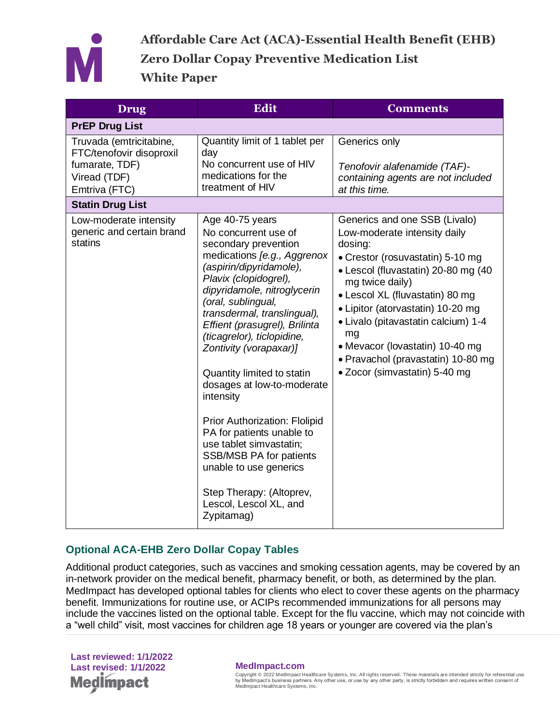

| <b>Drug</b>                                                                                            | <b>Edit</b>                                                                                                                                                                                                                                                                                                                                                                                                                                                                                                                                                                                                                       | <b>Comments</b>                                                                                                                                                                                                                                                                                                                                                                                       |
|--------------------------------------------------------------------------------------------------------|-----------------------------------------------------------------------------------------------------------------------------------------------------------------------------------------------------------------------------------------------------------------------------------------------------------------------------------------------------------------------------------------------------------------------------------------------------------------------------------------------------------------------------------------------------------------------------------------------------------------------------------|-------------------------------------------------------------------------------------------------------------------------------------------------------------------------------------------------------------------------------------------------------------------------------------------------------------------------------------------------------------------------------------------------------|
| <b>PrEP Drug List</b>                                                                                  |                                                                                                                                                                                                                                                                                                                                                                                                                                                                                                                                                                                                                                   |                                                                                                                                                                                                                                                                                                                                                                                                       |
| Truvada (emtricitabine,<br>FTC/tenofovir disoproxil<br>fumarate, TDF)<br>Viread (TDF)<br>Emtriva (FTC) | Quantity limit of 1 tablet per<br>day<br>No concurrent use of HIV<br>medications for the<br>treatment of HIV                                                                                                                                                                                                                                                                                                                                                                                                                                                                                                                      | Generics only<br>Tenofovir alafenamide (TAF)-<br>containing agents are not included<br>at this time.                                                                                                                                                                                                                                                                                                  |
| <b>Statin Drug List</b>                                                                                |                                                                                                                                                                                                                                                                                                                                                                                                                                                                                                                                                                                                                                   |                                                                                                                                                                                                                                                                                                                                                                                                       |
| Low-moderate intensity<br>generic and certain brand<br>statins                                         | Age 40-75 years<br>No concurrent use of<br>secondary prevention<br>medications [e.g., Aggrenox<br>(aspirin/dipyridamole),<br>Plavix (clopidogrel),<br>dipyridamole, nitroglycerin<br>(oral, sublingual,<br>transdermal, translingual),<br>Effient (prasugrel), Brilinta<br>(ticagrelor), ticlopidine,<br>Zontivity (vorapaxar)]<br>Quantity limited to statin<br>dosages at low-to-moderate<br>intensity<br>Prior Authorization: Flolipid<br>PA for patients unable to<br>use tablet simvastatin;<br><b>SSB/MSB PA for patients</b><br>unable to use generics<br>Step Therapy: (Altoprev,<br>Lescol, Lescol XL, and<br>Zypitamag) | Generics and one SSB (Livalo)<br>Low-moderate intensity daily<br>dosing:<br>• Crestor (rosuvastatin) 5-10 mg<br>• Lescol (fluvastatin) 20-80 mg (40<br>mg twice daily)<br>• Lescol XL (fluvastatin) 80 mg<br>• Lipitor (atorvastatin) 10-20 mg<br>• Livalo (pitavastatin calcium) 1-4<br>mg<br>• Mevacor (lovastatin) 10-40 mg<br>• Pravachol (pravastatin) 10-80 mg<br>• Zocor (simvastatin) 5-40 mg |

### **Optional ACA-EHB Zero Dollar Copay Tables**

Additional product categories, such as vaccines and smoking cessation agents, may be covered by an in-network provider on the medical benefit, pharmacy benefit, or both, as determined by the plan. MedImpact has developed optional tables for clients who elect to cover these agents on the pharmacy benefit. Immunizations for routine use, or ACIPs recommended immunizations for all persons may include the vaccines listed on the optional table. Except for the flu vaccine, which may not coincide with a "well child" visit, most vaccines for children age 18 years or younger are covered via the plan's

**Last reviewed: 1/1/2022 Last revised: 1/1/2022 MedImpact.com Medimpact** 

Copyright © 2022 MedImpact Healthcare Systems, Inc. All rights reserved. These materials are intended strictly for referential use by MedImpact's business partners. Any other use, or use by any other party, is strictly forbidden and requires written consent of MedImpact Healthcare Systems, Inc.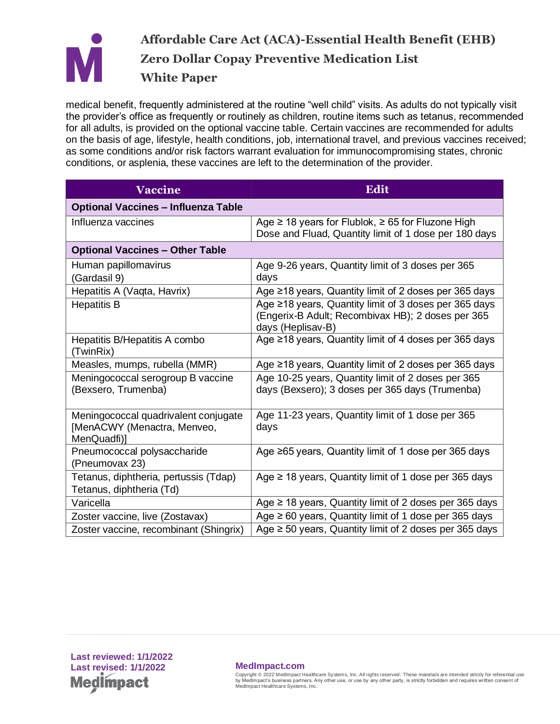

# **Affordable Care Act (ACA)-Essential Health Benefit (EHB) Zero Dollar Copay Preventive Medication List White Paper**

medical benefit, frequently administered at the routine "well child" visits. As adults do not typically visit the provider's office as frequently or routinely as children, routine items such as tetanus, recommended for all adults, is provided on the optional vaccine table. Certain vaccines are recommended for adults on the basis of age, lifestyle, health conditions, job, international travel, and previous vaccines received; as some conditions and/or risk factors warrant evaluation for immunocompromising states, chronic conditions, or asplenia, these vaccines are left to the determination of the provider.

| <b>Vaccine</b>                                                                     | <b>Edit</b>                                                                                                                     |  |
|------------------------------------------------------------------------------------|---------------------------------------------------------------------------------------------------------------------------------|--|
| <b>Optional Vaccines - Influenza Table</b>                                         |                                                                                                                                 |  |
| Influenza vaccines                                                                 | Age $\geq$ 18 years for Flublok, $\geq$ 65 for Fluzone High<br>Dose and Fluad, Quantity limit of 1 dose per 180 days            |  |
| <b>Optional Vaccines - Other Table</b>                                             |                                                                                                                                 |  |
| Human papillomavirus<br>(Gardasil 9)                                               | Age 9-26 years, Quantity limit of 3 doses per 365<br>days                                                                       |  |
| Hepatitis A (Vaqta, Havrix)                                                        | Age ≥18 years, Quantity limit of 2 doses per 365 days                                                                           |  |
| <b>Hepatitis B</b>                                                                 | Age ≥18 years, Quantity limit of 3 doses per 365 days<br>(Engerix-B Adult; Recombivax HB); 2 doses per 365<br>days (Heplisav-B) |  |
| Hepatitis B/Hepatitis A combo<br>(TwinRix)                                         | Age ≥18 years, Quantity limit of 4 doses per 365 days                                                                           |  |
| Measles, mumps, rubella (MMR)                                                      | Age ≥18 years, Quantity limit of 2 doses per 365 days                                                                           |  |
| Meningococcal serogroup B vaccine<br>(Bexsero, Trumenba)                           | Age 10-25 years, Quantity limit of 2 doses per 365<br>days (Bexsero); 3 doses per 365 days (Trumenba)                           |  |
| Meningococcal quadrivalent conjugate<br>[MenACWY (Menactra, Menveo,<br>MenQuadfi)] | Age 11-23 years, Quantity limit of 1 dose per 365<br>days                                                                       |  |
| Pneumococcal polysaccharide<br>(Pneumovax 23)                                      | Age ≥65 years, Quantity limit of 1 dose per 365 days                                                                            |  |
| Tetanus, diphtheria, pertussis (Tdap)<br>Tetanus, diphtheria (Td)                  | Age $\geq$ 18 years, Quantity limit of 1 dose per 365 days                                                                      |  |
| Varicella                                                                          | Age $\geq$ 18 years, Quantity limit of 2 doses per 365 days                                                                     |  |
| Zoster vaccine, live (Zostavax)                                                    | Age $\geq 60$ years, Quantity limit of 1 dose per 365 days                                                                      |  |
| Zoster vaccine, recombinant (Shingrix)                                             | Age $\geq$ 50 years, Quantity limit of 2 doses per 365 days                                                                     |  |

Copyright © 2022 MedImpact Healthcare Systems, Inc. All rights reserved. These materials are intended strictly for referential use by MedImpact's business partners. Any other use, or use by any other party, is strictly forbidden and requires written consent of MedImpact Healthcare Systems, Inc.